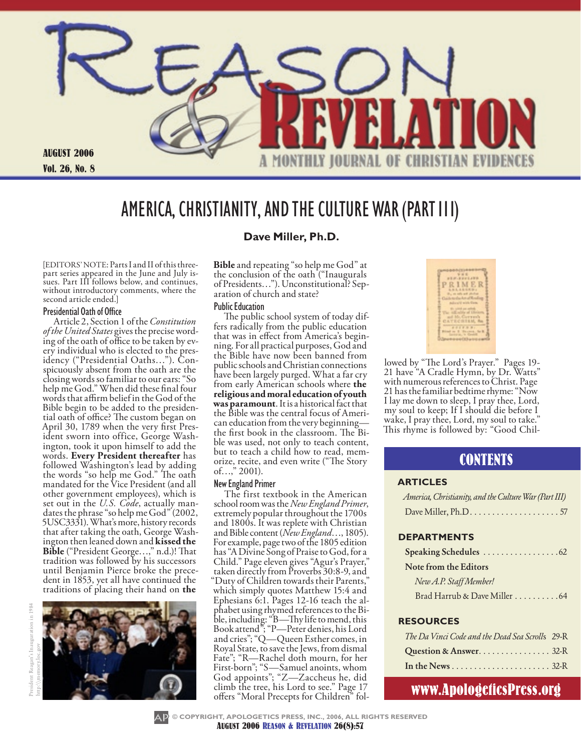

## America, Christianity, and the Culture War (part i1I)

### **Dave Miller, Ph.D.**

[EDITORS' NOTE: Parts I and II of this threesues. Part III follows below, and continues, without introductory comments, where the second article ended.]

### Presidential Oath of Office

Article 2, Section 1 of the *Constitution*  ing of the oath of office to be taken by ev-<br>ery individual who is elected to the pres-<br>idency ("Presidential Oaths..."). Con-<br>spicuously absent from the oath are the closing words so familiar to our ears: "So help me God." When did these final four words that affirm belief in the God of the Bible begin to be added to the presidential oath of office? The custom began on April 30, 1789 when the very first President sworn into office, George Wash-<br>ington, took it upon himself to add the words. **Every President thereafter** has followed Washington's lead by adding the words "so help me God." The oath mandated for the Vice President (and all other government employees), which is set out in the *U.S. Code*, actually man-<br>dates the phrase "so help me God" (2002, 5USC3331). What's more, history records ington then leaned down and **kissed the Bible** ("President George…," n.d.)! That tradition was followed by his successors until Benjamin Pierce broke the prece- dent in 1853, yet all have continued the traditions of placing their hand on **the** 



## **Bible** and repeating "so help me God" at the conclusion of the oath ("Inaugurals of Presidents…"). Unconstitutional? Sep- aration of church and state?

Public Education<br>The public school system of today differs radically from the public education<br>that was in effect from America's beginning. For all practical purposes, God and the Bible have now been banned from public schools and Christian connections have been largely purged. What a far cry from early American schools where **the religious and moral education of youth was paramount**. It is a historical fact that can education from the very beginning—<br>the first book in the classroom. The Bible was used, not only to teach content,<br>but to teach a child how to read, memorize, recite, and even write ("The Story of…," 2001).

### New England Primer

The first textbook in the American school room was the *New England Primer*, extremely popular throughout the 1700s and 1800s. It was replete with Christian and Bible content (*New England*…, 1805). For example, page two of the 1805 edition has "A Divine Song of Praise to God, for a Child." Page eleven gives "Agur's Prayer," taken directly from Proverbs 30:8-9, and "Duty of Children towards their Parents," which simply quotes Matthew 15:4 and<br>Ephesians 6:1. Pages 12-16 teach the al-Ephesians 6:1. Pages 12-16 teach the al-<br>phabet using rhymed references to the Bi-<br>ble, including: "B—Thy life to mend, this Book attend"; "P—Peter denies, his Lord and cries"; "Q—Queen Esther comes, in Royal State, to save the Jews, from dismal Fate"; "R—Rachel doth mourn, for her First-born"; "S—Samuel anoints, whom God appoints"; "Z—Zaccheus he, did climb the tree, his Lord to see." Page 17 offers "Moral Precepts for Children" fol-

| LIME.             |
|-------------------|
| h,                |
|                   |
|                   |
|                   |
|                   |
| Ludwig all        |
| <b>M. Corrent</b> |
| <b>TECHEM.</b>    |
|                   |
|                   |
|                   |

lowed by "The Lord's Prayer." Pages 19- 21 have "A Cradle Hymn, by Dr. Watts" with numerous references to Christ. Page 21 has the familiar bedtime rhyme: "Now I lay me down to sleep, I pray thee, Lord, my soul to keep; If I should die before I wake, I pray thee, Lord, my soul to take." This rhyme is followed by: "Good Chil-

### **CONTENTS**

### **Articles**

| America, Christianity, and the Culture War (Part III) |
|-------------------------------------------------------|
|                                                       |

### **Departments**

| Note from the Editors        |
|------------------------------|
| New A.P. Staff Member!       |
| Brad Harrub & Dave Miller 64 |
|                              |

### **Resources**

| The Da Vinci Code and the Dead Sea Scrolls 29-R |  |
|-------------------------------------------------|--|
| Question & Answer. 32-R                         |  |
|                                                 |  |

### www.ApologeticsPress.org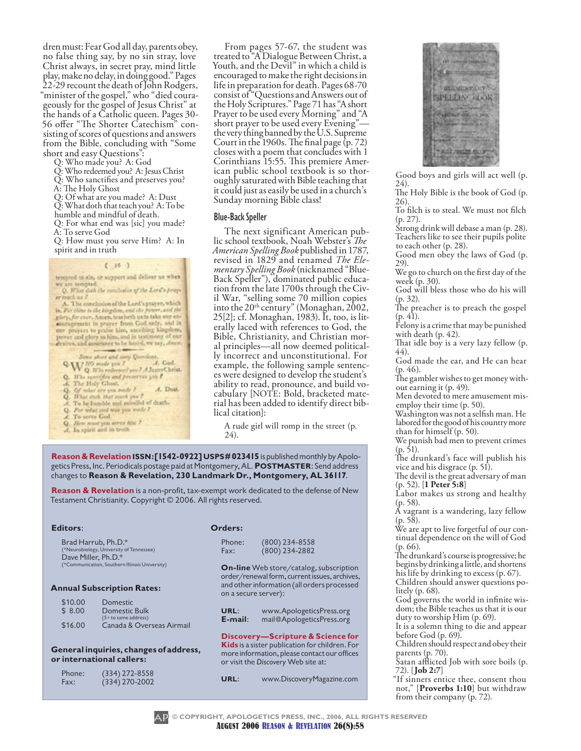dren must: Fear God all day, parents obey, no false thing say, by no sin stray, love Christ always, in secret pray, mind little play, make no delay, in doing good." Pages 22-29 recount the death of John Rodgers,<br>"minister of the gospel," who "died coura-"minister of the gospel," who "died coura- geously for the gospel of Jesus Christ" at the hands of a Catholic queen. Pages 30- 56 offer "The Shorter Catechism" con- sisting of scores of questions and answers from the Bible, concluding with "Some short and easy Questions": Q: Who made you? A: God

- Q: Who redeemed you? A: Jesus Christ
- Q: Who sanctifies and preserves you?
- A: The Holy Ghost
- Q: Of what are you made? A: Dust
- Q: What doth that teach you? A: To be
- humble and mindful of death.
- Q: For what end was [sic] you made?
- A: To serve God

Q: How must you serve Him? A: In spirit and in truth

 $(36.)$ tempted to ain, or support and deliver us when we are tempted.<br>Q. What diet the conclusion of the Lord's pray-A. The conclusion of the Lord's prayer, which A. The conclusion of the Lord is prayer, which the Alle change is a glary, for ever, Amers, teacheds us to take our encompensation prayer from Cod endy, and in the corresponding the prayer side of provide the property of

| Sime short and easy Questions.                                            |
|---------------------------------------------------------------------------|
| A. God.                                                                   |
| Q. W. Who made you ? A. God.<br>U. Q. Who rederived you ? A Jeans Christ. |
| Q. Who santifies and preserves you I                                      |
| A. The Holy Glost.                                                        |
| A. Dust.<br>Q. Of what are you made ?                                     |
| Q. IVhat shith that teach you?                                            |
| A. To be humble and mindful of death-                                     |
| Q. For what and was you made ?                                            |
| A. To serve God.                                                          |
| Q. They must you serve him 7                                              |

A. In spirit and in truth

From pages 57-67, the student was treated to "A Dialogue Between Christ, a Youth, and the Devil" in which a child is encouraged to make the right decisions in life in preparation for death. Pages 68-70 consist of "Questions and Answers out of the Holy Scriptures." Page 71 has "A short Prayer to be used every Morning" and "A short prayer to be used every Evening" the very thing banned by the U.S. Supreme Court in the 1960s. The final page (p. 72) closes with a poem that concludes with 1 ican public school textbook is so thor-<br>oughly saturated with Bible teaching that it could just as easily be used in a church's Sunday morning Bible class!

### Blue-Back Speller

The next significant American pub- lic school textbook, Noah Webster's *The American Spelling Book* (nicknamed *The Ele- mentary Spelling Book* (nicknamed "Blue-<br>Back Speller"), dominated public education from the late 1700s through the Civil War, "selling some 70 million copies<br>into the 20<sup>th</sup> century" (Monaghan, 2002,<br>25[2]; cf. Monaghan, 1983). It, too, is lit-<br>erally laced with references to God, the Bible, Christianity, and Christian mor- al principles—all now deemed political- ly incorrect and unconstitutional. For example, the following sample sentences<br>were designed to develop the student's<br>ability to read, pronounce, and build vocabulary [NOTE: Bold, bracketed mate-<br>rial has been added to identify direct bib-<br>lical citation]:

A rude girl will romp in the street (p. 24).

**Reason & Revelationissn:[1542-0922] usps# 023415** is published monthly by Apologetics Press, Inc. Periodicals postage paid at Montgomery, AL. **Postmaster**: Send address changes to **Reason & Revelation, 230 Landmark Dr., Montgomery, AL 36117**.

**Reason & Revelation** is a non-profit, tax-exempt work dedicated to the defense of New Testament Christianity. Copyright © 2006. All rights reserved.

### **Editors**:

Brad Harrub, Ph.D.\* (\*Neurobiology, University of Tennessee) Dave Miller, Ph.D.\* (\*Communication, Southern Illinois University)

### **Annual Subscription Rates:**

| \$10.00 | <b>Domestic</b>           |
|---------|---------------------------|
| \$8.00  | Domestic Bulk             |
|         | $(5 +$ to same address)   |
| \$16.00 | Canada & Overseas Airmail |

#### **General inquiries, changes of address, or international callers:**

| Phone: | $(334)$ 272-8558 |
|--------|------------------|
| Fax:   | $(334)$ 270-2002 |

#### **Orders:**

| Phone: | $(800)$ 234-8558 |
|--------|------------------|
| Fax:   | $(800)$ 234-2882 |

**On-line** Web store/catalog, subscription order/renewal form, current issues, archives, and other information (all orders processed on a secure server):

**URL:** www.ApologeticsPress.org<br>**F-mail:** mail@ApologeticsPress.org **E-mail**: mail@ApologeticsPress.org

**Discovery—Scripture & Science for Kids** is a sister publication for children. For more information, please contact our offices or visit the *Discovery* Web site at:

**url**: www.DiscoveryMagazine.com



Good boys and girls will act well (p. 24).

The Holy Bible is the book of God (p. 26).

To filch is to steal. We must not filch (p. 27).

Strong drink will debase a man (p. 28). Teachers like to see their pupils polite to each other (p. 28).

Good men obey the laws of God (p. 29).

We go to church on the first day of the week (p. 30).

God will bless those who do his will (p. 32).

The preacher is to preach the gospel  $(p. 41)$ .

Felony is a crime that may be punished with death (p. 42).

That idle boy is a very lazy fellow (p. 44).

God made the ear, and He can hear (p. 46).

The gambler wishes to get money with-<br>out earning it (p. 49).

Men devoted to mere amusement mis- employ their time (p. 50).

Washington was not a selfish man. He labored for the good of his country more than for himself (p. 50).

We punish bad men to prevent crimes (p. 51).

The drunkard's face will publish his vice and his disgrace (p. 51).

The devil is the great adversary of man (p. 52). [**1 Peter 5:8**]

Labor makes us strong and healthy (p. 58).

A vagrant is a wandering, lazy fellow  $(p. 58)$ .

We are apt to live forgetful of our con- tinual dependence on the will of God (p. 66).

The drunkard's course is progressive; he begins by drinking a little, and shortens his life by drinking to excess (p. 67).

Children should answer questions po-<br>litely (p. 68).<br>God governs the world in infinite wis-

dom; the Bible teaches us that it is our duty to worship Him (p. 69).

It is a solemn thing to die and appear before God (p. 69).

Children should respect and obey their parents (p. 70).

Satan afflicted Job with sore boils (p. 72). [**Job 2:7**]

"If sinners entice thee, consent thou not," [**Proverbs 1:10**] but withdraw from their company (p. 72).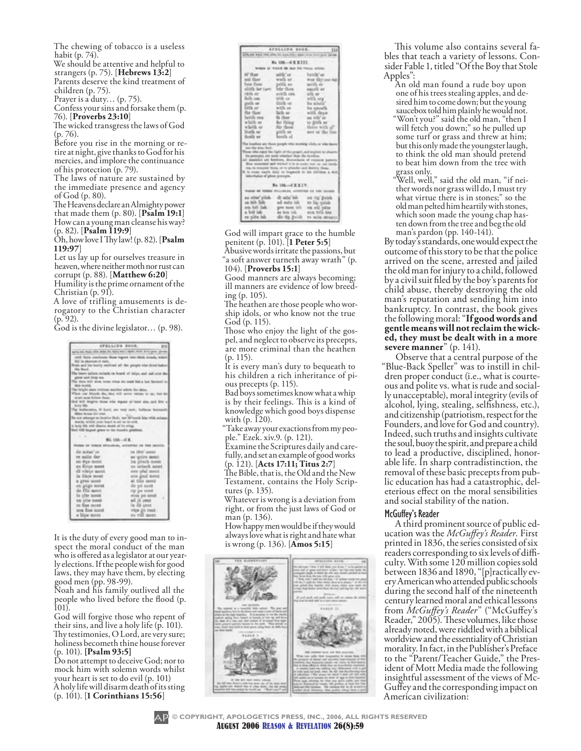The chewing of tobacco is a useless habit (p. 74).

We should be attentive and helpful to strangers (p. 75). [**Hebrews 13:2**] Parents deserve the kind treatment of

children (p. 75). Prayer is a duty… (p. 75).

Confess your sins and forsake them (p. 76). [**Proverbs 23:10**]

The wicked transgress the laws of God (p. 76).

Before you rise in the morning or re- tire at night, give thanks to God for his mercies, and implore the continuance of his protection (p. 79).

The laws of nature are sustained by the immediate presence and agency of God (p. 80).

The Heavens declare an Almighty power that made them (p. 80). [**Psalm 19:1**] How can a young man cleanse his way? (p. 82). [**Psalm 119:9**]

Oh, how love I Thy law! (p. 82). [**Psalm 119:97**]

Let us lay up for ourselves treasure in heaven, where neither moth nor rust can corrupt (p. 88). [**Matthew 6:20**]

Humility is the prime ornament of the Christian (p. 91).

A love of trifling amusements is de- rogatory to the Christian character (p. 92).

God is the divine legislator… (p. 98).

|                                                                                       | SPELLING BOOK.                                                                                           |
|---------------------------------------------------------------------------------------|----------------------------------------------------------------------------------------------------------|
| gove the ways who who he was well tops; now how put of                                |                                                                                                          |
|                                                                                       | celd there confirmes these topers late thick streds, wil                                                 |
| full is sleened of rule.                                                              |                                                                                                          |
|                                                                                       | Heak and his hanily analised all the people who lived bab-                                               |
| the Band.                                                                             |                                                                                                          |
| The brass sales united<br>great and drop wa-                                          | It as board of ships and sail and                                                                        |
| The time will won come a                                                              | faces are count bad a last factor                                                                        |
|                                                                                       |                                                                                                          |
| The bright state without success adors, the skins.                                    |                                                                                                          |
|                                                                                       | Whom your drivends dies, they will server return to say but we                                           |
| mind some follow to                                                                   | Bud will forgive those who repose of tools site, and live a                                              |
| tedy list.                                                                            |                                                                                                          |
| Thy leethoosine, 40 Scott, are very sure; between been                                |                                                                                                          |
| this brue ity and                                                                     |                                                                                                          |
|                                                                                       | By not attempt to dentice think; not by some him with account words, whiles your heart in net to set it. |
|                                                                                       |                                                                                                          |
| A help life will share death of its sting.<br>led will begun grace to the insultie pe |                                                                                                          |
|                                                                                       |                                                                                                          |
|                                                                                       | <b>KL 110 - CK.</b>                                                                                      |
| <b>Conditions</b> , an                                                                |                                                                                                          |
|                                                                                       |                                                                                                          |
| da mäns' or                                                                           | re tilve' ment                                                                                           |
| re milia der                                                                          | as quice ment                                                                                            |
| en tice ment.                                                                         | im pilach mean                                                                                           |
| on Slops ment                                                                         | es erdech neut.                                                                                          |
| di võros ment                                                                         | con plul ment                                                                                            |
| in duce ment                                                                          | con goal ment.                                                                                           |
| a give ment.                                                                          | at this ment.                                                                                            |
| en gige ment                                                                          | de pó nest.                                                                                              |
| de file ment.                                                                         | op pa next.                                                                                              |
| in cite mest.                                                                         | som job neat                                                                                             |
| ex cite meat                                                                          | Acres At Inc.                                                                                            |
|                                                                                       | is dil penti                                                                                             |
| ru fine most                                                                          |                                                                                                          |
| con fine ment                                                                         | view po rent-                                                                                            |
| a lõpe ment.                                                                          | es rill ment.                                                                                            |

It is the duty of every good man to in- spect the moral conduct of the man who is offered as a legislator at our year- ly elections. If the people wish for good laws, they may have them, by electing good men (pp. 98-99).

Noah and his family outlived all the people who lived before the flood (p.  $101)$ .

God will forgive those who repent of their sins, and live a holy life (p. 101). Thy testimonies, O Lord, are very sure; holiness becometh thine house forever (p. 101). **[Psalm 93:5]**

Do not attempt to deceive God; nor to mock him with solemn words whilst your heart is set to do evil (p. 101) A holy life will disarm death of its sting (p. 101). [**1 Corinthians 15:56**]

|                                                                                                                                                                                     | <b><i>AFTALING BOOM</i></b>                                                                                                                                                                                                                                                                                                                                                                                                      |                                                                                                                                                                               |  |
|-------------------------------------------------------------------------------------------------------------------------------------------------------------------------------------|----------------------------------------------------------------------------------------------------------------------------------------------------------------------------------------------------------------------------------------------------------------------------------------------------------------------------------------------------------------------------------------------------------------------------------|-------------------------------------------------------------------------------------------------------------------------------------------------------------------------------|--|
|                                                                                                                                                                                     | arts are more than after his signalities, again, and their press careers                                                                                                                                                                                                                                                                                                                                                         |                                                                                                                                                                               |  |
|                                                                                                                                                                                     | No. 128-4 X X 111                                                                                                                                                                                                                                                                                                                                                                                                                |                                                                                                                                                                               |  |
|                                                                                                                                                                                     |                                                                                                                                                                                                                                                                                                                                                                                                                                  |                                                                                                                                                                               |  |
| at' than<br>nel flae<br><b>Loa</b> (Suon<br>eloth ler (pr)<br>1955 er-<br>falls one<br>path or<br>Mih er<br>für thee<br>britth pen<br>whith or<br>wheth or<br>Statik av<br>forth or | with've<br>wells ar .<br>prills are<br><b>Ide then</b><br>solids are<br>sich er<br>thick or<br>with or<br>lath or<br>fi ther<br>for thing<br>für thest<br>pòth ar<br>Imríb al                                                                                                                                                                                                                                                    | hyude' ee<br>war flero<br>mitch or<br>moth ar<br>offs or<br>with one<br>be adult?<br>be questa<br>with dryw<br>an oth' or<br>to B4th se<br>there with all<br>ney or the liter |  |
| not the true link.<br>islantiance of plans procepts.                                                                                                                                | The longbox are those purply who monkly ideds to who by<br>These who expertise light of the grope), and textbols in absenter<br>In people, on now similar that the leaders.<br>All matches are heritors, domestions of country panels.<br>Her senatoral and without it is to under war on our intell-<br>rea, to evargest those, or to printers and descript those.<br>It is every week dany to begannik to his striding a state |                                                                                                                                                                               |  |
|                                                                                                                                                                                     | No. 194-CXXIV.                                                                                                                                                                                                                                                                                                                                                                                                                   |                                                                                                                                                                               |  |
|                                                                                                                                                                                     |                                                                                                                                                                                                                                                                                                                                                                                                                                  |                                                                                                                                                                               |  |
|                                                                                                                                                                                     | as sites plads di sala kh<br>ea title link and mates ink                                                                                                                                                                                                                                                                                                                                                                         | ex (i) posh<br>re lig quide                                                                                                                                                   |  |

God will impart grace to the humble penitent (p. 101). [**1 Peter 5:5**]

Abusive words irritate the passions, but "a soft answer turneth away wrath" (p. 104). [**Proverbs 15:1**]

Good manners are always becoming; ill manners are evidence of low breed- ing (p. 105).

The heathen are those people who wor- ship idols, or who know not the true

God (p. 115).<br>Those who enjoy the light of the gospel, and neglect to observe its precepts, are more criminal than the heathen (p. 115).

It is every man's duty to bequeath to his children a rich inheritance of pious precepts (p. 115).

Bad boys sometimes know what a whip is by their feelings. This is a kind of knowledge which good boys dispense with (p. 120).

"Take away your exactions from my peo- ple." Ezek. xiv.9. (p. 121).

fully, and set an example of good works (p. 121). [**Acts 17:11; Titus 2:7**]

The Bible, that is, the Old and the New Testament, contains the Holy Scrip- tures (p. 135).

Whatever is wrong is a deviation from right, or from the just laws of God or man (p. 136).

How happy men would be if they would always love what is right and hate what is wrong (p. 136). [**Amos 5:15**]



This volume also contains several fa-<br>bles that teach a variety of lessons. Con-<br>sider Fable 1, titled "Of the Boy that Stole<br>Apples":

An old man found a rude boy upon one of his trees stealing apples, and de- sired him to come down; but the young saucebox told him plainly he would not. "Won't you?" said the old man, "then I will fetch you down;" so he pulled up some turf or grass and threw at him; but this only made the youngster laugh, to think the old man should pretend to beat him down from the tree with grass only.

"Well, well," said the old man, "if nei- ther words nor grass will do, I must try what virtue there is in stones;" so the old man pelted him heartily with stones, ten down from the tree and beg the old man's pardon (pp. 140-141).

By today's standards, one would expect the outcome of this story to be that the police arrived on the scene, arrested and jailed the old man for injury to a child, followed by a civil suit filed by the boy's parents for child abuse, thereby destroying the old man's reputation and sending him into bankruptcy. In contrast, the book gives<br>the following moral: "**If good words and** the following moral: "**If good words and gentle means will not reclaim the wick- ed, they must be dealt with in a more** 

severe manner" (p. 141).<br>Observe that a central purpose of the<br>"Blue-Back Speller" was to instill in chil-<br>dren proper conduct (i.e., what is courte-<br>ous and polite vs. what is rude and social-<br>ly unacceptable), moral inte alcohol, lying, stealing, selfishness, etc.), and citizenship (patriotism, respect for the Founders, and love for God and country). Indeed, such truths and insights cultivate the soul, buoy the spirit, and prepare a child able life. In sharp contradistinction, the removal of these basic precepts from pub-<br>lic education has had a catastrophic, del-<br>eterious effect on the moral sensibilities and social stability of the nation.

### McGuffey's Reader

A third prominent source of public ed- ucation was the *McGuffey's Reader*. First printed in 1836, the series consisted of six<br>readers corresponding to six levels of difficulty. With some 120 million copies sold between 1836 and 1890, "[p]ractically ev- ery American who attended public schools during the second half of the nineteenth century learned moral and ethical lessons from *McGuffey's Reader*" ("McGuffey's Reader," 2005). These volumes, like those already noted, were riddled with a biblical worldview and the essentiality of Christian morality. In fact, in the Publisher's Preface ident of Mott Media made the following insightful assessment of the views of Mc- Guffey and the corresponding impact on American civilization:



**AUGUST 2006 REASON & REVELATION 26(8):59 © COPYRIGHT, APOLOGETICS PRESS, INC., 2006, ALL RIGHTS RESERVED**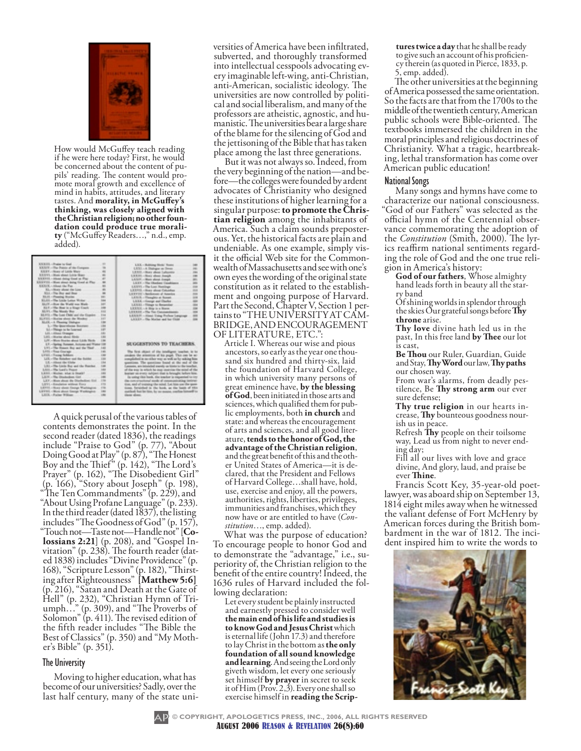

How would McGuffey teach reading if he were here today? First, he would pils' reading. The content would pro-<br>mote moral growth and excellence of mind in habits, attitudes, and literary tastes. And **morality, in McGuffey's thinking, was closely aligned with the Christian religion; no other foun- dation could produce true morali- ty** ("McGuffey Readers…," n.d., emp. added).

| a resume in Mingham for New York Commission |             | LXX - Robbing Wedy Roger<br>$\sim$                                                                            |
|---------------------------------------------|-------------|---------------------------------------------------------------------------------------------------------------|
| NAAH 1 - The Public of the European         |             | LEXI - A Distance on Deem<br>$\overline{\phantom{a}}$                                                         |
|                                             |             | L'ESSI, «Worry about Earlier<br>$\overline{\phantom{a}}$                                                      |
| EXEVER Home about Livia Many                |             | LICENS - News about Associ-<br>$\overline{1}$                                                                 |
| ENTITE - About theirs fixed at Pac-         |             | LAST - Bas door ivest                                                                                         |
| LENTIS - New steel Joint Street & Play      |             | Lis Kit. - The Ukadiana Glassi                                                                                |
| <b>SURFACE - Allege Har Page - 1999</b>     |             | LENVIL - The Lost Massings<br>$\sim$                                                                          |
| Ki, cilkers show the Law.                   |             | LXXIII - Rose shout Columbus                                                                                  |
| Mild - The Box and Boy                      |             | LEXVIS - Scheman of Associa-                                                                                  |
| \$1.11 - Passing States                     |             | LAND - Thoughts at Synat                                                                                      |
| \$1.01 - The Link-Leise Writer              |             | LickA - George and Charles                                                                                    |
| \$3.00 - But the Wald was Ball-             |             | LANA - Finan to Reporte                                                                                       |
| \$15.17 The Boar in a Niger Easth           |             | LICENSE - is liken in a linear.                                                                               |
|                                             | 51.0        | LEXXIII - The Ten Commercial                                                                                  |
| \$1,515 .- The Last Child and the Grantee   |             | LENER - Hand Tony Pollen Law                                                                                  |
| \$1,935 - Station about the Blocker         | <b>SAT</b>  | LAXER - Fly Market and the Chief                                                                              |
| \$1.45 - 5 Pleasing Highway                 | 1,844       |                                                                                                               |
| L. The Quaraturns fraurunt                  | 188         |                                                                                                               |
| \$3.0 Weight by he figures of the com-      | 147         |                                                                                                               |
| LEL - Allega Granger                        | $-140$      |                                                                                                               |
| 1.001 - Mineter about Mode                  |             |                                                                                                               |
| LVD - Ware Strategy about 1,400 No.6-       | 1.34        |                                                                                                               |
| 11 - Spring Thomas Actions and Trans-       |             | SUGGENTIONS TO TEACHERS.                                                                                      |
| 1/31 - The Stewart Stay and the West        | 1.44        |                                                                                                               |
|                                             | 140         | The New object of the intelligent teacher, in he                                                              |
| LYBL-Testa felders                          | 1,544       | coulors the artestion of his pupil. This can be ac-                                                           |
| LUE - The Bottelsee and the Solder          |             | complished in our other way or well as he wiking him                                                          |
| U.S. - Allena ville Elisabe                 | 154         | estima. The genetical build at the sed of the                                                                 |
| 1/81 - The Links Buy and the Bunchel        | 14          |                                                                                                               |
|                                             | <b>ISRA</b> | Lemante, are intended merely as kinds to the teacher.<br>of the way in which he may user one the mixel of the |
| LAND, CRASHE, shaking from the              | 1444        | learner up every subject that is foreight helium him.                                                         |
| LETC - The Deadquillant client              |             | In using this bask, the tracker is requested to tree                                                          |
| LXX - New shore the Directedient End        |             | the compressional angle of mean asis allow instru-                                                            |
| 1.5771 - Kanalarius without Force           | <b>ATT</b>  | tion, and of instalageba saind. Let him one the quest                                                         |
| LETTI / Nort should finance Washington      | 13.56       | tions. Serviced in the book, as the basis of this                                                             |
| LIFFIN, 1960 show forest Westington in      |             | curricult but he issn. by no mount, condita himself to                                                        |
| LECK - Factor William - Carry Corp.         | $-$         | <b>General Adventure</b>                                                                                      |

A quick perusal of the various tables of contents demonstrates the point. In the second reader (dated 1836), the readings include "Praise to God" (p. 77), "About Doing Good at Play" (p. 87), "The Honest Boy and the Thief" (p. 142), "The Lord's Prayer" (p. 162), "The Disobedient Girl" (p. 166), "Story about Joseph" (p. 198), "The Ten Commandments" (p. 229), and "About Using Profane Language" (p. 233). In the third reader (dated 1837), the listing includes "The Goodness of God" (p. 157),<br>"Touch not—Taste not—Handle not" [**Colossians 2:21**] (p. 208), and "Gospel Invitation" (p. 238). The fourth reader (dat-<br>ed 1838) includes "Divine Providence" (p. 168), "Scripture Lesson" (p. 182), "Thirst- ing after Righteousness" **[Matthew 5:6]** (p. 216), "Satan and Death at the Gate of Hell" (p. 232), "Christian Hymn of Tri- umph…" (p. 309), and "The Proverbs of Solomon" (p. 411). The revised edition of the fifth reader includes "The Bible the Best of Classics" (p. 350) and "My Mother's Bible" (p. 351).

### The University

Moving to higher education, what has become of our universities? Sadly, over the last half century, many of the state universities of America have been infiltrated, subverted, and thoroughly transformed<br>into intellectual cesspools advocating every imaginable left-wing, anti-Christian, anti-American, socialistic ideology. The universities are now controlled by politi- cal and social liberalism, and many of the professors are atheistic, agnostic, and hu- manistic. The universities bear a large share of the blame for the silencing of God and the jettisoning of the Bible that has taken

place among the last three generations. But it was not always so. Indeed, from fore—the colleges were founded by ardent advocates of Christianity who designed these institutions of higher learning for a singular purpose: **to promote the Chris- tian religion** among the inhabitants of America. Such a claim sounds preposter- ous. Yet, the historical facts are plain and undeniable. As one example, simply vis- it the official Web site for the Common- wealth of Massachusetts and see with one's own eyes the wording of the original state constitution as it related to the establish- ment and ongoing purpose of Harvard. tains to "THE UNIVERSITY AT CAM-<br>BRIDGE, AND ENCOURAGEMENT OF LITERATURE, ETC.":

Article I. Whereas our wise and pious<br>ancestors, so early as the year one thousand six hundred and thirty-six, laid the foundation of Harvard College, in which university many persons of<br>great eminence have, by the blessing of God, been initiated in those arts and sciences, which qualified them for pub- lic employments, both **in church** and state: and whereas the encouragement<br>of arts and sciences, and all good literature, tends to the honor of God, the advantage of the Christian religion, and the great benefit of this and the oth-<br>er United States of America—it is de-<br>clared, that the President and Fellows of Harvard College…shall have, hold, use, exercise and enjoy, all the powers, authorities, rights, liberties, privileges, immunities and franchises, which they now have or are entitled to have (*Con- stitution*…, emp. added).

What was the purpose of education? To encourage people to honor God and periority of, the Christian religion to the benefit of the entire country! Indeed, the 1636 rules of Harvard included the fol- lowing declaration: Let every student be plainly instructed

and earnestly pressed to consider well **the main end of his life and studies is to know God and Jesus Christ** which is eternal life (John 17.3) and therefore<br>to lay Christ in the bottom as **the only** foundation of all sound knowledge **and learning**. And seeing the Lord only giveth wisdom, let every one seriously set himself **by prayer** in secret to seek it of Him (Prov. 2,3). Every one shall so exercise himself in **reading the Scrip-** **tures twice a day** that he shall be ready to give such an account of his proficien- cy therein (as quoted in Pierce, 1833, p. 5, emp. added).<br>The other universities at the beginning

of America possessed the same orientation. So the facts are that from the 1700s to the middle of the twentieth century, American public schools were Bible-oriented. The textbooks immersed the children in the moral principles and religious doctrines of Christianity. What a tragic, heartbreak- ing, lethal transformation has come over American public education!

National Songs<br>Many songs and hymns have come to<br>characterize our national consciousness. 'God of our Fathers" was selected as the official hymn of the Centennial observance commemorating the adoption of<br>the *Constitution* (Smith, 2000). The lyrics reaffirm national sentiments regard-<br>ing the role of God and the one true reli-<br>gion in America's history:<br>**God of our fathers**, Whose almighty<br>hand leads forth in beauty all the star-<br>ry band

Of shining worlds in splendor through the skies Our grateful songs before **Thy throne** arise.

**Thy love** divine hath led us in the past, In this free land **by Thee** our lot is cast,

**Be Thou** our Ruler, Guardian, Guide and Stay, **Thy Word** our law, **Thy paths** our chosen way.

From war's alarms, from deadly pes-<br>tilence, Be **Thy strong arm** our ever<br>sure defense;

**Thy true religion** in our hearts increase, **Thy** bounteous goodness nour-<br>ish us in peace.<br>Refresh **Thy** people on their toilsome

way, Lead us from night to never end-<br>ing day;

Fill all our lives with love and grace divine, And glory, laud, and praise be ever **Thine**.

Francis Scott Key, 35-year-old poet- lawyer, was aboard ship on September 13, 1814 eight miles away when he witnessed the valiant defense of Fort McHenry by American forces during the British bom-<br>bardment in the war of 1812. The inci-<br>dent inspired him to write the words to



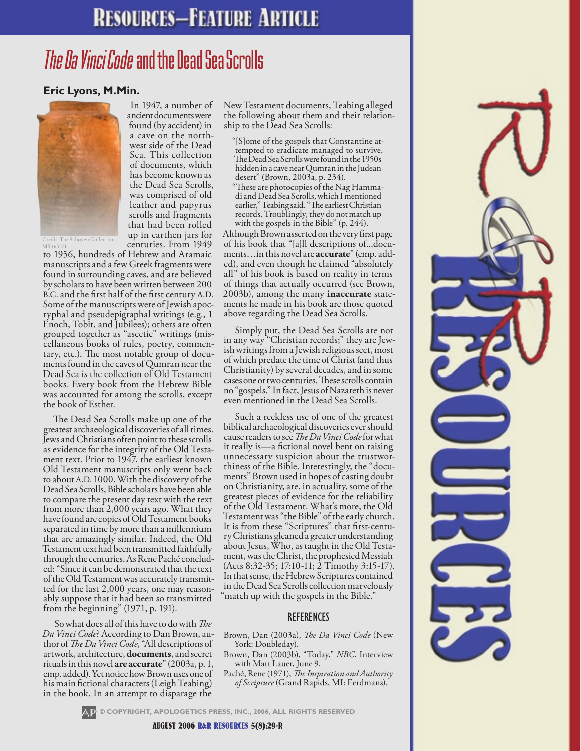# **RESOURCES-FEATURE ARTICLE**

# *The Da Vinci Code* and the Dead Sea Scrolls

In 1947, a number of ancient documents were found (by accident) in a cave on the northwest side of the Dead Sea. This collection of documents, which has become known as the Dead Sea Scrolls, was comprised of old leather and papyrus scrolls and fragments that had been rolled up in earthen jars for

### **Eric Lyons, M.Min.**



Credit: The Schøyen Collection MS 1655/1

centuries. From 1949 to 1956, hundreds of Hebrew and Aramaic manuscripts and a few Greek fragments were found in surrounding caves, and are believed by scholars to have been written between 200 B.C. and the first half of the first century A.D. Some of the manuscripts were of Jewish apocryphal and pseudepigraphal writings (e.g., 1 Enoch, Tobit, and Jubilees); others are often grouped together as "ascetic" writings (miscellaneous books of rules, poetry, commentary, etc.). The most notable group of documents found in the caves of Qumran near the Dead Sea is the collection of Old Testament books. Every book from the Hebrew Bible was accounted for among the scrolls, except the book of Esther.

The Dead Sea Scrolls make up one of the greatest archaeological discoveries of all times. Jews and Christians often point to these scrolls as evidence for the integrity of the Old Testament text. Prior to 1947, the earliest known Old Testament manuscripts only went back to about A.D. 1000. With the discovery of the Dead Sea Scrolls, Bible scholars have been able to compare the present day text with the text from more than 2,000 years ago. What they have found are copies of Old Testament books separated in time by more than a millennium that are amazingly similar. Indeed, the Old Testament text had been transmitted faithfully through the centuries. As Rene Paché concluded: "Since it can be demonstrated that the text of the Old Testament was accurately transmitted for the last 2,000 years, one may reasonably suppose that it had been so transmitted from the beginning" (1971, p. 191).

So what does all of this have to do with *The Da Vinci Code*? According to Dan Brown, author of *The Da Vinci Code*, "All descriptions of artwork, architecture, **documents**, and secret rituals in this novel **are accurate**" (2003a, p. 1, emp. added). Yet notice how Brown uses one of his main fictional characters (Leigh Teabing) in the book. In an attempt to disparage the

New Testament documents, Teabing alleged the following about them and their relationship to the Dead Sea Scrolls:

"[S]ome of the gospels that Constantine attempted to eradicate managed to survive. The Dead Sea Scrolls were found in the 1950s hidden in a cave near Qumran in the Judean desert" (Brown, 2003a, p. 234). "These are photocopies of the Nag Hammadi and Dead Sea Scrolls, which I mentioned earlier," Teabing said. "The earliest Christian records. Troublingly, they do not match up with the gospels in the Bible" (p. 244).

Although Brown asserted on the very first page of his book that "[a]ll descriptions of...documents…in this novel are **accurate**" (emp. added), and even though he claimed "absolutely all" of his book is based on reality in terms of things that actually occurred (see Brown, 2003b), among the many **inaccurate** statements he made in his book are those quoted above regarding the Dead Sea Scrolls.

Simply put, the Dead Sea Scrolls are not in any way "Christian records;" they are Jewish writings from a Jewish religious sect, most of which predate the time of Christ (and thus Christianity) by several decades, and in some cases one or two centuries. These scrolls contain no "gospels." In fact, Jesus of Nazareth is never even mentioned in the Dead Sea Scrolls.

Such a reckless use of one of the greatest biblical archaeological discoveries ever should cause readers to see *The Da Vinci Code* for what it really is—a fictional novel bent on raising thiness of the Bible. Interestingly, the "docu-<br>ments" Brown used in hopes of casting doubt on Christianity, are, in actuality, some of the greatest pieces of evidence for the reliability of the Old Testament. What's more, the Old Testament was "the Bible" of the early church. It is from these "Scriptures" that first-century Christians gleaned a greater understanding about Jesus, Who, as taught in the Old Testament, was the Christ, the prophesied Messiah (Acts 8:32-35; 17:10-11; 2 Timothy 3:15-17). In that sense, the Hebrew Scriptures contained in the Dead Sea Scrolls collection marvelously "match up with the gospels in the Bible."

### **REFERENCES**

- Brown, Dan (2003a), *The Da Vinci Code* (New York: Doubleday).
- Brown, Dan (2003b), "Today," *NBC*, Interview with Matt Lauer, June 9.
- Paché, Rene (1971), *The Inspiration and Authority of Scripture* (Grand Rapids, MI: Eerdmans).

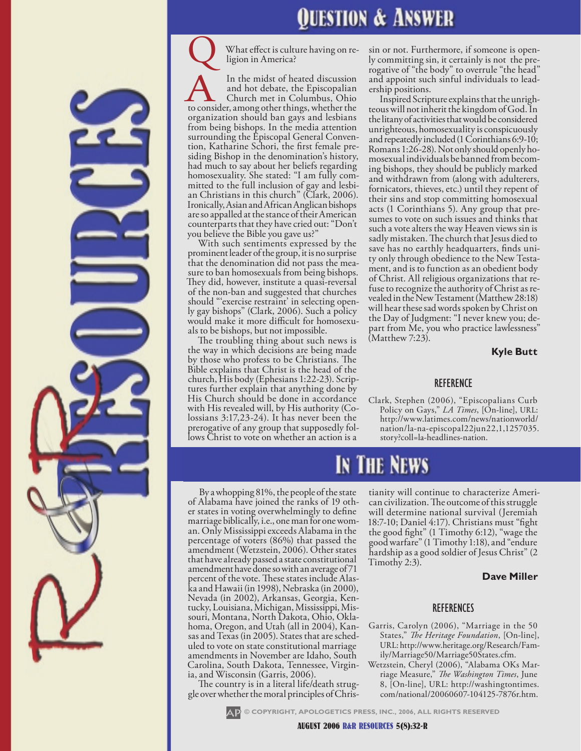# Question & Answer

What effect is culture having on re-<br>ligion in America?

A In the midst of heated discussion to consider, among other things, whether the and hot debate, the Episcopalian Church met in Columbus, Ohio organization should ban gays and lesbians from being bishops. In the media attention tion, Katharine Schori, the first female pre-<br>siding Bishop in the denomination's history, had much to say about her beliefs regarding<br>homosexuality. She stated: "I am fully committed to the full inclusion of gay and lesbi-<br>an Christians in this church" (Clark, 2006). Ironically, Asian and African Anglican bishops are so appalled at the stance of their American counterparts that they have cried out: "Don't

With such sentiments expressed by the prominent leader of the group, it is no surprise that the denomination did not pass the mea- sure to ban homosexuals from being bishops. They did, however, institute a quasi-reversal of the non-ban and suggested that churches<br>should "'exercise restraint' in selecting openly gay bishops" (Clark, 2006). Such a policy<br>would make it more difficult for homosexu-

als to be bishops, but not impossible.<br>The troubling thing about such news is the way in which decisions are being made by those who profess to be Christians. The Bible explains that Christ is the head of the<br>church, His body (Ephesians 1:22-23). Scriptures further explain that anything done by His Church should be done in accordance lossians  $3:17,23-24$ ). It has never been the prerogative of any group that supposedly fol- lows Christ to vote on whether an action is a sin or not. Furthermore, if someone is open-<br>ly committing sin, it certainly is not the pre-<br>rogative of "the body" to overrule "the head" and appoint such sinful individuals to lead-<br>ership positions.<br>Inspired Scripture explains that the unrigh-

teous will not inherit the kingdom of God. In the litany of activities that would be considered unrighteous, homosexuality is conspicuously and repeatedly included (1 Corinthians 6:9-10; Romans 1:26-28). Not only should openly ho- mosexual individuals be banned from becom- ing bishops, they should be publicly marked and withdrawn from (along with adulterers, fornicators, thieves, etc.) until they repent of their sins and stop committing homosexual<br>acts (1 Corinthians 5). Any group that presumes to vote on such issues and thinks that such a vote alters the way Heaven views sin is sadly mistaken. The church that Jesus died to<br>save has no earthly headquarters, finds unity only through obedience to the New Testa-<br>ment, and is to function as an obedient body<br>of Christ. All religious organizations that refuse to recognize the authority of Christ as re-<br>vealed in the New Testament (Matthew 28:18) will hear these sad words spoken by Christ on<br>the Day of Judgment: "I never knew you; depart from Me, you who practice lawlessness" (Matthew 7:23).

### **Kyle Butt**

### **REFERENCE**

Clark, Stephen (2006), "Episcopalians Curb Policy on Gays," *LA Times*, [On-line], URL: http://www.latimes.com/news/nationworld/ nation/la-na-episcopal22jun22,1,1257035. story?coll=la-headlines-nation.

## IN THE NEWS

By a whopping 81%, the people of the state of Alabama have joined the ranks of 19 other states in voting overwhelmingly to define marriage biblically, i.e., one man for one woman. Only Mississippi exceeds Alabama in the percentage of voters (86%) that passed the amendment (Wetzstein, 2006). Other states that have already passed a state constitutional amendment have done so with an average of 71 ka and Hawaii (in 1998), Nebraska (in 2000),<br>Nevada (in 2002), Arkansas, Georgia, Kentucky, Louisiana, Michigan, Mississippi, Missouri, Montana, North Dakota, Ohio, Oklahoma, Oregon, and Utah (all in 2004), Kansas and Texas (in 2005). States that are scheduled to vote on state constitutional marriage amendments in November are Idaho, South Carolina, South Dakota, Tennessee, Virgin- ia, and Wisconsin (Garris, 2006).

gle over whether the moral principles of Chris-

tianity will continue to characterize American civilization. The outcome of this struggle will determine national survival (Jeremiah 18:7-10; Daniel 4:17). Christians must "fight the good fight" (1 Timothy 6:12), "wage the good warfare" (1 Timothy 1:18), and "endure hardship as a good soldier of Jesus Christ" (2 Timothy 2:3).

### **Dave Miller**

### **REFERENCES**

- Garris, Carolyn (2006), "Marriage in the 50 States," *The Heritage Foundation*, [On-line], url: http://www.heritage.org/Research/Family/Marriage50/Marriage50States.cfm.
- Wetzstein, Cheryl (2006), "Alabama OKs Marriage Measure," *The Washington Times*, June 8, [On-line], URL: http://washingtontimes. com/national/20060607-104125-7876r.htm.

**© COPYRIGHT, APOLOGETICS PRESS, INC., 2006, ALL RIGHTS RESERVED**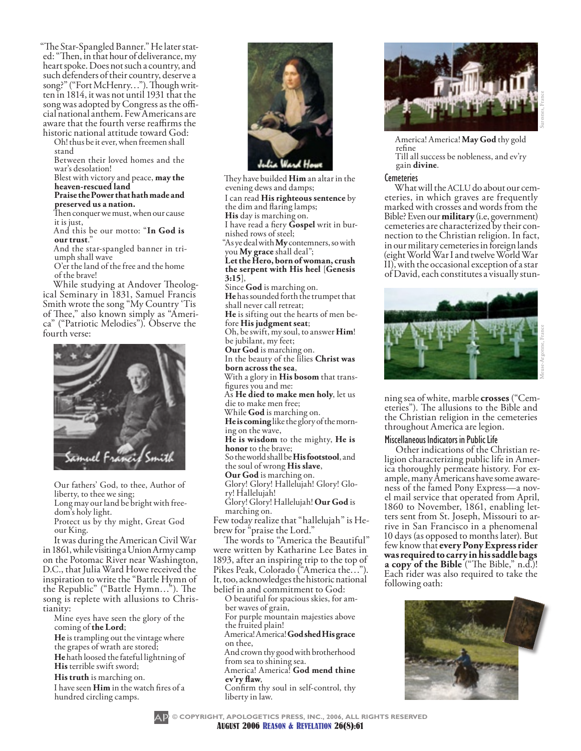"The Star-Spangled Banner." He later stat- ed: "Then, in that hour of deliverance, my heart spoke. Does not such a country, and such defenders of their country, deserve a song?" ("Fort McHenry…"). Though writ- ten in 1814, it was not until 1931 that the cial national anthem. Few Americans are aware that the fourth verse reaffirms the historic national attitude toward God:

Oh! thus be it ever, when freemen shall stand

Between their loved homes and the war's desolation!

Blest with victory and peace, **may the heaven-rescued land**

**Praise the Power that hath made and preserved us a nation.**

Then conquer we must, when our cause it is just,

And this be our motto: "**In God is our trust**."

And the star-spangled banner in tri- umph shall wave

O'er the land of the free and the home of the brave!

While studying at Andover Theolog- ical Seminary in 1831, Samuel Francis Smith wrote the song "My Country 'Tis of Thee," also known simply as "Ameri- ca" ("Patriotic Melodies"). Observe the fourth verse:



Our fathers' God, to thee, Author of liberty, to thee we sing;

Long may our land be bright with free- dom's holy light.

Protect us by thy might, Great God our King.

It was during the American Civil War in 1861, while visiting a Union Army camp on the Potomac River near Washington, D.C., that Julia Ward Howe received the inspiration to write the "Battle Hymn of the Republic" ("Battle Hymn…"). The song is replete with allusions to Chris- tianity:

Mine eyes have seen the glory of the coming of **the Lord**;

**He** is trampling out the vintage where the grapes of wrath are stored;

**He** hath loosed the fateful lightning of **His** terrible swift sword;

**His truth** is marching on.

I have seen **Him** in the watch fires of a hundred circling camps.



They have builded **Him** an altar in the evening dews and damps; I can read **His righteous sentence** by the dim and flaring lamps; **His** day is marching on. I have read a fiery **Gospel** writ in bur- nished rows of steel; "As ye deal with **My** contemners, so with you **My grace** shall deal"; **Let the Hero, born of woman, crush the serpent with His heel** [**Genesis 3:15**], Since **God** is marching on. **He** has sounded forth the trumpet that shall never call retreat; **He** is sifting out the hearts of men be- fore **His judgment seat**; Oh, be swift, my soul, to answer **Him**! be jubilant, my feet; **Our God** is marching on. In the beauty of the lilies **Christ was**  With a glory in **His bosom** that trans-<br>figures you and me: As **He died to make men holy**, let us die to make men free; While **God** is marching on. **He is coming** like the glory of the morn- ing on the wave, **He is wisdom** to the mighty, **He is honor** to the brave; So the world shall be **His footstool**, and the soul of wrong **His slave**, **Our God** is marching on. Glory! Glory! Hallelujah! Glory! Glo- ry! Hallelujah! Glory! Glory! Hallelujah! **Our God** is marching on. Few today realize that "hallelujah" is He-<br>brew for "praise the Lord."

The words to "America the Beautiful" were written by Katharine Lee Bates in 1893, after an inspiring trip to the top of Pikes Peak, Colorado ("America the…"). It, too, acknowledges the historic national belief in and commitment to God:

O beautiful for spacious skies, for am- ber waves of grain,

For purple mountain majesties above the fruited plain!

America! America! **God shed His grace** on thee,

And crown thy good with brotherhood from sea to shining sea.

America! America! **God mend thine ev'ry flaw**, Confirm thy soul in self-control, thy

liberty in law.



America! America! **May God** thy gold refine

Till all success be nobleness, and ev'ry gain **divine**.

Cemeteries<br>What will the ACLU do about our cemeteries, in which graves are frequently marked with crosses and words from the<br>Bible? Even our **military** (i.e, government) cemeteries are characterized by their con-<br>nection to the Christian religion. In fact, in our military cemeteries in foreign lands (eight World War I and twelve World War II), with the occasional exception of a star of David, each constitutes a visually stun-



ning sea of white, marble **crosses** ("Cem- eteries"). The allusions to the Bible and the Christian religion in the cemeteries throughout America are legion.

Miscellaneous Indicators in Public Life ligion characterizing public life in America thoroughly permeate history. For example, many Americans have some awareness of the famed Pony Express—a novel mail service that operated from April, 1860 to November, 1861, enabling let- ters sent from St. Joseph, Missouri to ar- rive in San Francisco in a phenomenal 10 days (as opposed to months later). But few know that **every Pony Express rider was required to carry in his saddle bags a copy of the Bible** ("The Bible," n.d.)! Each rider was also required to take the following oath:





**AUGUST 2006 REASON & REVELATION 26(8):61**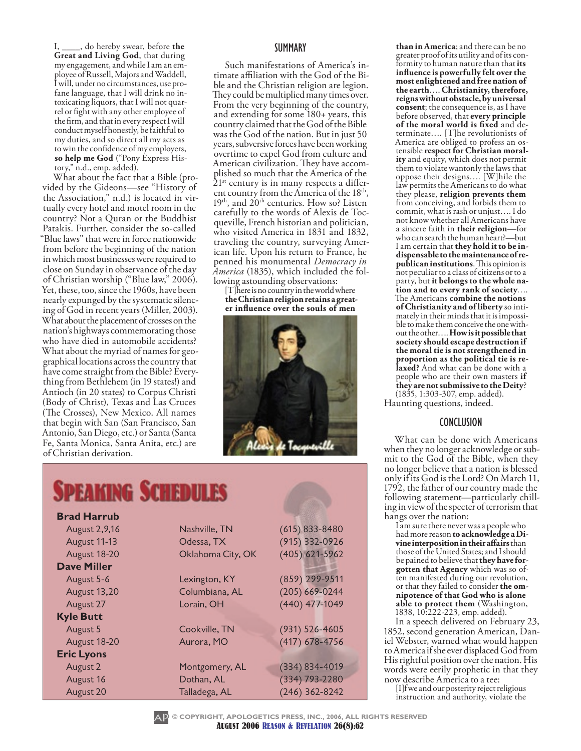I, \_\_\_\_, do hereby swear, before **the Great and Living God**, that during my engagement, and while I am an employee of Russell, Majors and Waddell, I will, under no circumstances, use profane language, that I will drink no intoxicating liquors, that I will not quarrel or fight with any other employee of the firm, and that in every respect I will conduct myself honestly, be faithful to my duties, and so direct all my acts as to win the confidence of my employers, **so help me God** ("Pony Express History," n.d., emp. added).

What about the fact that a Bible (provided by the Gideons—see "History of the Association," n.d.) is located in virtually every hotel and motel room in the country? Not a Quran or the Buddhist Patakis. Further, consider the so-called "Blue laws" that were in force nationwide from before the beginning of the nation in which most businesses were required to close on Sunday in observance of the day of Christian worship ("Blue law," 2006). Yet, these, too, since the 1960s, have been nearly expunged by the systematic silencing of God in recent years (Miller, 2003). What about the placement of crosses on the nation's highways commemorating those who have died in automobile accidents? What about the myriad of names for geographical locations across the country that have come straight from the Bible? Everything from Bethlehem (in 19 states!) and Antioch (in 20 states) to Corpus Christi (Body of Christ), Texas and Las Cruces (The Crosses), New Mexico. All names that begin with San (San Francisco, San Antonio, San Diego, etc.) or Santa (Santa Fe, Santa Monica, Santa Anita, etc.) are of Christian derivation.

### **SUMMARY**

Such manifestations of America's in-<br>timate affiliation with the God of the Bi-<br>ble and the Christian religion are legion. They could be multiplied many times over. From the very beginning of the country, and extending for some 180+ years, this country claimed that the God of the Bible was the God of the nation. But in just 50 years, subversive forces have been working overtime to expel God from culture and<br>American civilization. They have accomplished so much that the America of the<br>21<sup>st</sup> century is in many respects a different country from the America of the  $18<sup>th</sup>$ , 19<sup>th</sup>, and 20<sup>th</sup> centuries. How so? Listen carefully to the words of Alexis de Tocqueville, French historian and politician, who visited America in 1831 and 1832, ican life. Upon his return to France, he penned his monumental *Democracy in America* (1835), which included the fol-<br>lowing astounding observations:<br>[T]here is no country in the world where

**the Christian religion retains a great- er influence over the souls of men** 



# **SPEAKING SCHEDULES**

| <b>Brad Harrub</b>  |                   |                    |
|---------------------|-------------------|--------------------|
| August 2,9,16       | Nashville, TN     | $(615) 833 - 8480$ |
| August 11-13        | Odessa, TX        | $(915) 332 - 0926$ |
| August 18-20        | Oklahoma City, OK | $(405)$ 621-5962   |
| <b>Dave Miller</b>  |                   |                    |
| August 5-6          | Lexington, KY     | (859) 299-9511     |
| <b>August 13,20</b> | Columbiana, AL    | $(205) 669 - 0244$ |
| August 27           | Lorain, OH        | (440) 477-1049     |
| <b>Kyle Butt</b>    |                   |                    |
| August 5            | Cookville, TN     | $(931) 526 - 4605$ |
| August 18-20        | Aurora, MO        | $(417)$ 678-4756   |
| <b>Eric Lyons</b>   |                   |                    |
| August 2            | Montgomery, AL    | $(334) 834 - 4019$ |
| August 16           | Dothan, AL        | $(334) 793 - 2280$ |
| August 20           | Talladega, AL     | $(246)$ 362-8242   |

**than in America**; and there can be no greater proof of its utility and of its con- formity to human nature than that **its influence is powerfully felt over the most enlightened and free nation of the earth**…. **Christianity, therefore, reigns without obstacle, by universal**  before observed, that **every principle**<br>**of the moral world is fixed** and de-<br>terminate…. [T]he revolutionists of<br>America are obliged to profess an ostensible **respect for Christian moral-**<br>ity and equity, which does not permit<br>them to violate wantonly the laws that oppose their designs…. [W]hile the law permits the Americans to do what<br>they please, **religion prevents them** from conceiving, and forbids them to commit, what is rash or unjust…. I do not know whether all Americans have a sincere faith in **their religion**—for who can search the human heart?—but<br>I am certain that **they hold it to be indispensable to the maintenance of re-<br>publican institutions**. This opinion is<br>not peculiar to a class of citizens or to a party, but **it belongs to the whole na- tion and to every rank of society**…. The Americans **combine the notions**  mately in their minds that it is impossible to make them conceive the one with-<br>out the other…**. How is it possible that**<br>**society should escape destruction if the moral tie is not strengthened in proportion as the political tie is re- laxed?** And what can be done with a people who are their own masters **if they are not submissive to the Deity**? (1835, 1:303-307, emp. added).

Haunting questions, indeed.

### Conclusion

What can be done with Americans<br>when they no longer acknowledge or submit to the God of the Bible, when they no longer believe that a nation is blessed only if its God is the Lord? On March 11, 1792, the father of our country made the following statement—particularly chill-<br>ing in view of the specter of terrorism that<br>hangs over the nation:

I am sure there never was a people who<br>had more reason to acknowledge a Divine interposition in their affairs than those of the United States; and I should<br>be pained to believe that **they have forgotten that Agency** which was so of-<br>ten manifested during our revolution,<br>or that they failed to consider the omor that they failed to consider **the om- nipotence of that God who is alone able to protect them** (Washington, 1838, 10:222-223, emp. added).

In a speech delivered on February 23, 1852, second generation American, Dan- iel Webster, warned what would happen to America if she ever displaced God from His rightful position over the nation. His words were eerily prophetic in that they now describe America to a tee:

[I]f we and our posterity reject religious instruction and authority, violate the

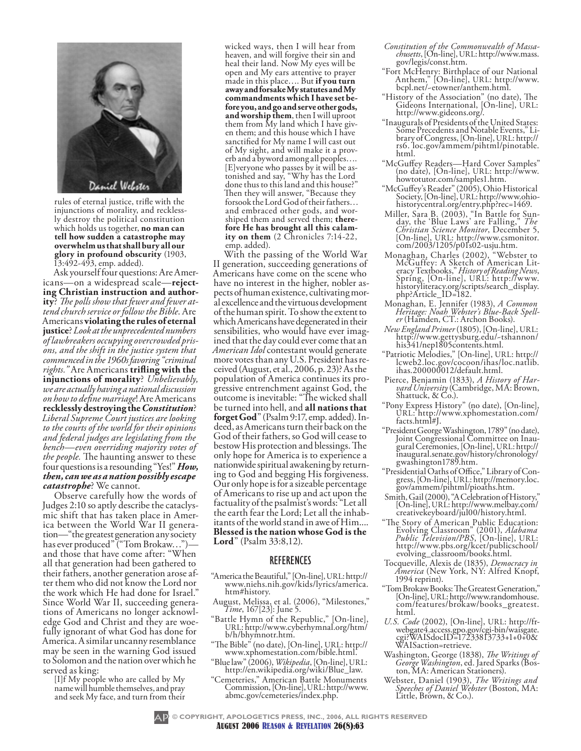

rules of eternal justice, trifle with the injunctions of morality, and reckless- ly destroy the political constitution which holds us together, **no man can tell how sudden a catastrophe may overwhelm us that shall bury all our glory in profound obscurity** (1903, 13:492-493, emp. added).

Ask yourself four questions: Are Americans—on a widespread scale—**reject-**<br>ing Christian instruction and author-<br>ity? The polls show that fewer and fewer at-<br>tend church service or follow the Bible. Are Americans **violating the rules of eternal justice**? *Look at the unprecedented numbers of lawbreakers occupying overcrowded pris- ons, and the shift in the justice system that commenced in the 1960s favoring "criminal rights."* Are Americans **trifling with the injunctions of morality**? *Unbelievably, we are actually having a national discussion on how to define marriage*! Are Americans **recklessly destroying the** *Constitution*? *Liberal Supreme Court justices are looking to the courts of the world for their opinions and federal judges are legislating from the bench—even overriding majority votes of the people.* The haunting answer to these four questions is a resounding "Yes!" *How, then, can we as a nation possibly escape catastrophe*? We cannot.

Observe carefully how the words of<br>Judges 2:10 so aptly describe the cataclysmic shift that has taken place in Amer-<br>ica between the World War II genera-<br>tion—"the greatest generation any society has ever produced" ("Tom Brokaw...")and those that have come after: "When all that generation had been gathered to their fathers, another generation arose af- ter them who did not know the Lord nor the work which He had done for Israel." Since World War II, succeeding genera-<br>tions of Americans no longer acknowl-<br>edge God and Christ and they are woe-<br>fully ignorant of what God has done for America. A similar uncanny resemblance may be seen in the warning God issued to Solomon and the nation over which he

[I]f My people who are called by My name will humble themselves, and pray and seek My face, and turn from their wicked ways, then I will hear from heaven, and will forgive their sin and heal their land. Now My eyes will be open and My ears attentive to prayer made in this place…. But **if you turn away and forsake My statutes and My commandments which I have set be- fore you, and go and serve other gods,**  them from My land which I have given them; and this house which I have sanctified for My name I will cast out<br>of My sight, and will make it a proverb and a byword among all peoples.... [E]veryone who passes by it will be as- tonished and say, "Why has the Lord done thus to this land and this house?" Then they will answer, "Because they forsook the Lord God of their fathers… and embraced other gods, and wor- shiped them and served them; **there- fore He has brought all this calam- ity on them** (2 Chronicles 7:14-22,

emp. added).<br>With the passing of the World War II generation, succeeding generations of Americans have come on the scene who have no interest in the higher, nobler as-<br>pects of human existence, cultivating mor-<br>al excellence and the virtuous development of the human spirit. To show the extent to which Americans have degenerated in their<br>sensibilities, who would have ever imagined that the day could ever come that an<br>American Idol contestant would generate *American Idolai* more votes than any U.S. President has received (August, et al., 2006, p. 23)? As the population of America continues its progressive entrenchment against God, the outcome is inevitable: "The wicked shall be turned into hell, and **all nations that forget God**" (Psalm 9:17, emp. added). In-<br>deed, as Americans turn their back on the God of their fathers, so God will cease to bestow His protection and blessings. The only hope for America is to experience a nationwide spiritual awakening by return- ing to God and begging His forgiveness. Our only hope is for a sizeable percentage of Americans to rise up and act upon the factuality of the psalmist's words: "Let all itants of the world stand in awe of Him.... **Blessed is the nation whose God is the Lord**" (Psalm 33:8,12).

### REFERENCES

- "America the Beautiful," [On-line], URL: http:// www.niehs.nih.gov/kids/lyrics/america. htm#history.
- August, Melissa, et al. (2006), "Milestones," *Time*, 167[23]: June 5.
- "Battle Hymn of the Republic," [On-line], URL: http://www.cyberhymnal.org/htm/ b/h/bhymnotr.htm.
- "The Bible" (no date), [On-line], URL: http:// www.xphomestation.com/bible.html.
- "Blue law" (2006), *Wikipedia*, [On-line], URL: http://en.wikipedia.org/wiki/Blue\_law.
- "Cemeteries," American Battle Monuments Commission, [On-line], URL: http://www. abmc.gov/cemeteries/index.php.
- *Constitution of the Commonwealth of Massa- chusetts*, [On-line], URL: http://www.mass. gov/legis/const.htm.
- "Fort McHenry: Birthplace of our National Anthem," [On-line], URL: http://www. bcpl.net/~etowner/anthem.html.
- "History of the Association" (no date), The Gideons International, [On-line], URL: http://www.gideons.org/.
- "Inaugurals of Presidents of the United States: Some Precedents and Notable Events," Li- brary of Congress, [On-line], URL: http:// rs6. loc.gov/ammem/pihtml/pinotable. html.
- "McGuffey Readers—Hard Cover Samples" (no date), [On-line], URL: http://www. howtotutor.com/samples1.htm.
- Society, [On-line], URL: http://www.ohio-<br>historycentral.org/entry.php?rec=1469.
- Miller, Sara B. (2003), "In Battle for Sun- day, the 'Blue Laws' are Falling," *The Christian Science Monitor*, December 5, com/2003/1205/p01s02-usju.htm.
- Monaghan, Charles (2002), "Webster to McGuffey: A Sketch of American Lit-<br>eracy Textbooks," *History of Reading News*,<br>Spring, [On-line], URL: http://www.<br>historyliteracy.org/scripts/search\_displ historyliteracy.org/scripts/search\_display.<br>php?Article\_ID=182.
- Monaghan, E. Jennifer (1983), *A Common Heritage: Noah Webster's Blue-Back Spell- er* (Hamden, CT.: Archon Books).
- *New England Primer* (1805), [On-line], URL: http://www.gettysburg.edu/~tshannon/ his341/nep1805contents.html.
- "Patriotic Melodies," [On-line], URL: http:// lcweb2.loc.gov/cocoon/ihas/loc.natlib. ihas.200000012/default.html.
- Pierce, Benjamin (1833), *A History of Har- vard University* (Cambridge, MA: Brown, Shattuck, & Co.).
- "Pony Express History" (no date), [On-line], URL: http://www.xphomestation.com/ facts.html#J.
- "President George Washington, 1789" (no date), Joint Congressional Committee on Inau- gural Ceremonies, [On-line], URL: http:// inaugural.senate.gov/history/chronology/ inaugural.senate.gov/history/chronology/<br>gwashington1789.htm.
- "Presidential Oaths of Office," Library of Con- gress, [On-line], URL: http://memory.loc. gov/ammem/pihtml/pioaths.htm.
- [On-line], URL: http://www.melbay.com/<br>creativekeyboard/jul00/history.html.
- "The Story of American Public Education: Evolving Classroom" (2001), *Alabama Public Television/PBS*, [On-line], URL: http://www.pbs.org/kcet/publicschool/ evolving\_classroom/books.html.
- Tocqueville, Alexis de (1835), *Democracy in America* (New York, NY: Alfred Knopf, 1994 reprint).
- "Tom Brokaw Books: The Greatest Generation," [On-line], URL: http://www.randomhouse. com/features/brokaw/books\_greatest.
- html.<br>*U.S. Code* (2002), [On-line], URL: http://fr-*U.S. Code* (2002), [On-line], URL: http://fr- webgate4.access.gpo.gov/cgi-bin/waisgate. cgi?WAISdocID=17233813733+1+0+0& WAISaction=retrieve.
- Washington, George (1838), *The Writings of George Washington*, ed. Jared Sparks (Bos- ton, MA: American Stationers).
- Webster, Daniel (1903), *The Writings and Speeches of Daniel Webster* (Boston, MA: Little, Brown, & Co.).